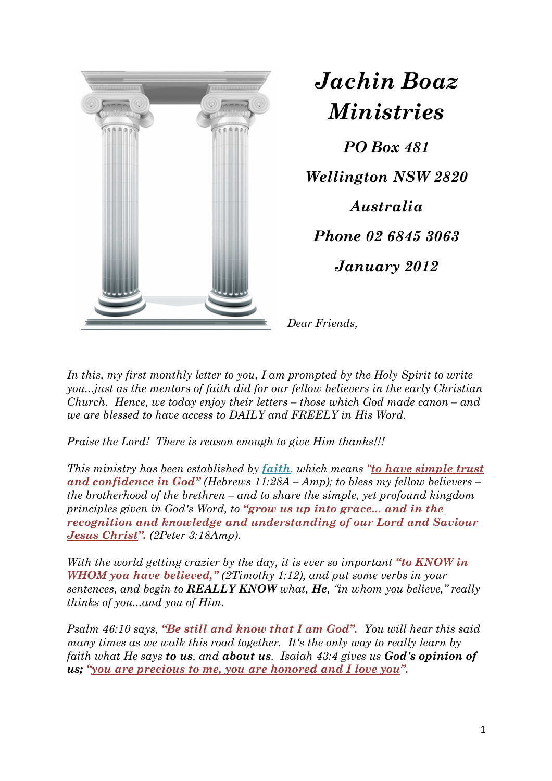

*Jachin Boaz Ministries PO Box 481* 

*Wellington NSW 2820* 

*Australia* 

*Phone 02 6845 3063* 

*January 2012* 

*Dear Friends,* 

In this, my first monthly letter to you, I am prompted by the Holy Spirit to write *you...just as the mentors of faith did for our fellow believers in the early Christian Church. Hence, we today enjoy their letters – those which God made canon – and we are blessed to have access to DAILY and FREELY in His Word.* 

*Praise the Lord! There is reason enough to give Him thanks!!!* 

*This ministry has been established by faith, which means "to have simple trust and confidence in God" (Hebrews 11:28A – Amp); to bless my fellow believers – the brotherhood of the brethren – and to share the simple, yet profound kingdom principles given in God's Word, to "grow us up into grace... and in the recognition and knowledge and understanding of our Lord and Saviour Jesus Christ". (2Peter 3:18Amp).* 

*With the world getting crazier by the day, it is ever so important "to KNOW in WHOM you have believed," (2Timothy 1:12), and put some verbs in your sentences, and begin to REALLY KNOW what, He, "in whom you believe," really thinks of you...and you of Him.* 

*Psalm 46:10 says, "Be still and know that I am God". You will hear this said many times as we walk this road together. It's the only way to really learn by faith what He says to us, and about us. Isaiah 43:4 gives us God's opinion of us; "you are precious to me, you are honored and I love you".*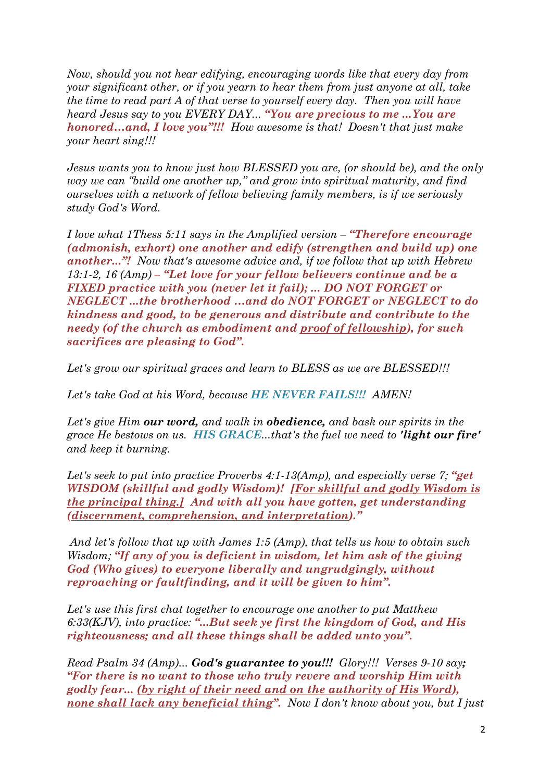*Now, should you not hear edifying, encouraging words like that every day from your significant other, or if you yearn to hear them from just anyone at all, take the time to read part A of that verse to yourself every day. Then you will have heard Jesus say to you EVERY DAY... "You are precious to me ...You are honored…and, I love you"!!! How awesome is that! Doesn't that just make your heart sing!!!* 

*Jesus wants you to know just how BLESSED you are, (or should be), and the only way we can "build one another up," and grow into spiritual maturity, and find ourselves with a network of fellow believing family members, is if we seriously study God's Word.* 

*I love what 1Thess 5:11 says in the Amplified version – "Therefore encourage (admonish, exhort) one another and edify (strengthen and build up) one another..."! Now that's awesome advice and, if we follow that up with Hebrew 13:1-2, 16 (Amp) – "Let love for your fellow believers continue and be a FIXED practice with you (never let it fail); ... DO NOT FORGET or NEGLECT ...the brotherhood …and do NOT FORGET or NEGLECT to do kindness and good, to be generous and distribute and contribute to the needy (of the church as embodiment and proof of fellowship), for such sacrifices are pleasing to God".*

*Let's grow our spiritual graces and learn to BLESS as we are BLESSED!!!* 

*Let's take God at his Word, because HE NEVER FAILS!!! AMEN!* 

*Let's give Him our word, and walk in obedience, and bask our spirits in the grace He bestows on us. HIS GRACE...that's the fuel we need to 'light our fire' and keep it burning.* 

*Let's seek to put into practice Proverbs 4:1-13(Amp), and especially verse 7; "get WISDOM (skillful and godly Wisdom)! [For skillful and godly Wisdom is the principal thing.] And with all you have gotten, get understanding (discernment, comprehension, and interpretation)."* 

*And let's follow that up with James 1:5 (Amp), that tells us how to obtain such Wisdom; "If any of you is deficient in wisdom, let him ask of the giving God (Who gives) to everyone liberally and ungrudgingly, without reproaching or faultfinding, and it will be given to him".*

*Let's use this first chat together to encourage one another to put Matthew 6:33(KJV), into practice: "...But seek ye first the kingdom of God, and His righteousness; and all these things shall be added unto you".* 

*Read Psalm 34 (Amp)... God's guarantee to you!!! Glory!!! Verses 9-10 say; "For there is no want to those who truly revere and worship Him with godly fear... (by right of their need and on the authority of His Word), none shall lack any beneficial thing". Now I don't know about you, but I just*